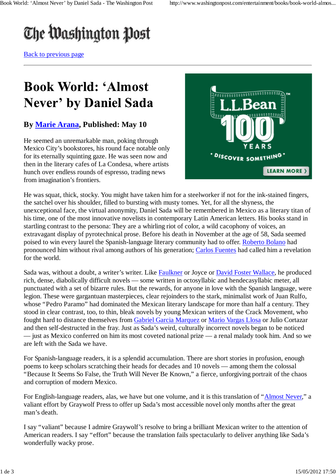# The Washington Post

Back to previous page

## **Book World: 'Almost** Never' by Daniel Sada

### **By Marie Arana, Published: May 10**

He seemed an unremarkable man, poking through Mexico City's bookstores, his round face notable only for its eternally squinting gaze. He was seen now and then in the literary cafes of La Condesa, where artists hunch over endless rounds of espresso, trading news from imagination's frontiers.



He was squat, thick, stocky. You might have taken him for a steelworker if not for the ink-stained fingers, the satchel over his shoulder, filled to bursting with musty tomes. Yet, for all the shyness, the unexceptional face, the virtual anonymity, Daniel Sada will be remembered in Mexico as a literary titan of his time, one of the most innovative novelists in contemporary Latin American letters. His books stand in startling contrast to the persona: They are a whirling riot of color, a wild cacophony of voices, an extravagant display of pyrotechnical prose. Before his death in November at the age of 58, Sada seemed poised to win every laurel the Spanish-language literary community had to offer. Roberto Bolano had pronounced him without rival among authors of his generation; Carlos Fuentes had called him a revelation for the world.

Sada was, without a doubt, a writer's writer. Like Faulkner or Joyce or David Foster Wallace, he produced rich, dense, diabolically difficult novels — some written in octosyllabic and hendecasyllabic meter, all punctuated with a set of bizarre rules. But the rewards, for anyone in love with the Spanish language, were legion. These were gargantuan masterpieces, clear rejoinders to the stark, minimalist work of Juan Rulfo, whose "Pedro Paramo" had dominated the Mexican literary landscape for more than half a century. They stood in clear contrast, too, to thin, bleak novels by young Mexican writers of the Crack Movement, who fought hard to distance themselves from Gabriel Garcia Marquez or Mario Vargas Llosa or Julio Cortazar and then self-destructed in the fray. Just as Sada's weird, culturally incorrect novels began to be noticed — just as Mexico conferred on him its most coveted national prize — a renal malady took him. And so we are left with the Sada we have.

For Spanish-language readers, it is a splendid accumulation. There are short stories in profusion, enough poems to keep scholars scratching their heads for decades and 10 novels — among them the colossal "Because It Seems So False, the Truth Will Never Be Known," a fierce, unforgiving portrait of the chaos and corruption of modern Mexico.

For English-language readers, alas, we have but one volume, and it is this translation of "Almost Never," a valiant effort by Graywolf Press to offer up Sada's most accessible novel only months after the great man's death.

I say "valiant" because I admire Graywolf's resolve to bring a brilliant Mexican writer to the attention of American readers. I say "effort" because the translation fails spectacularly to deliver anything like Sada's wonderfully wacky prose.